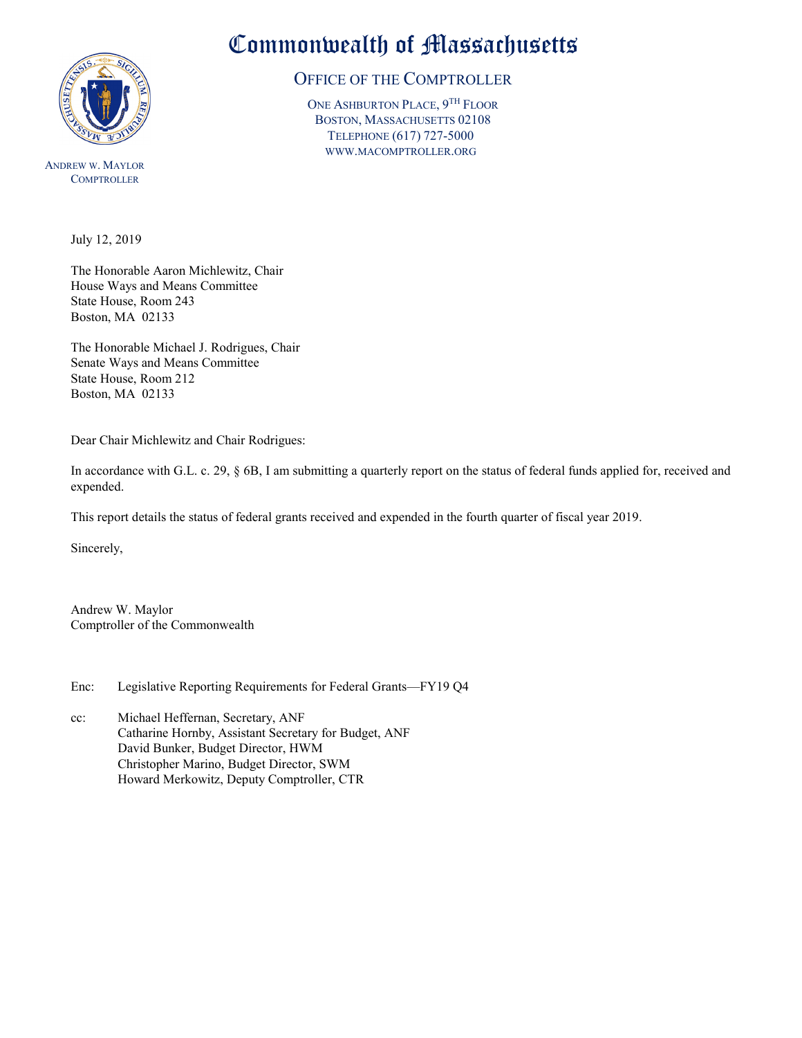

ANDREW W. MAYLOR **COMPTROLLER** 

## Commonwealth of Massachusetts

## OFFICE OF THE COMPTROLLER

ONE ASHBURTON PLACE,  $9^{TH}$  FLOOR BOSTON, MASSACHUSETTS 02108 TELEPHONE (617) 727-5000 WWW.MACOMPTROLLER.ORG

July 12, 2019

The Honorable Aaron Michlewitz, Chair House Ways and Means Committee State House, Room 243 Boston, MA 02133

The Honorable Michael J. Rodrigues, Chair Senate Ways and Means Committee State House, Room 212 Boston, MA 02133

Dear Chair Michlewitz and Chair Rodrigues:

In accordance with G.L. c. 29, § 6B, I am submitting a quarterly report on the status of federal funds applied for, received and expended.

This report details the status of federal grants received and expended in the fourth quarter of fiscal year 2019.

Sincerely,

Andrew W. Maylor Comptroller of the Commonwealth

Enc: Legislative Reporting Requirements for Federal Grants—FY19 Q4

cc: Michael Heffernan, Secretary, ANF Catharine Hornby, Assistant Secretary for Budget, ANF David Bunker, Budget Director, HWM Christopher Marino, Budget Director, SWM Howard Merkowitz, Deputy Comptroller, CTR